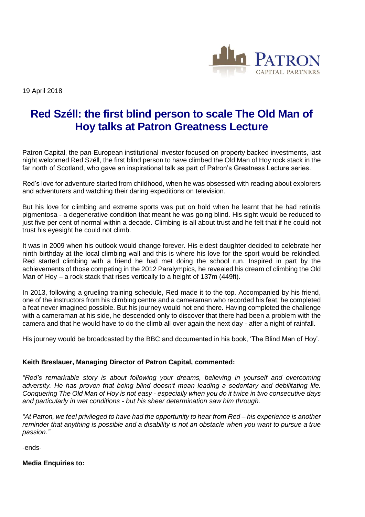

19 April 2018

## **Red Széll: the first blind person to scale The Old Man of Hoy talks at Patron Greatness Lecture**

Patron Capital, the pan-European institutional investor focused on property backed investments, last night welcomed Red Széll, the first blind person to have climbed the Old Man of Hoy rock stack in the far north of Scotland, who gave an inspirational talk as part of Patron's Greatness Lecture series.

Red's love for adventure started from childhood, when he was obsessed with reading about explorers and adventurers and watching their daring expeditions on television.

But his love for climbing and extreme sports was put on hold when he learnt that he had retinitis pigmentosa - a degenerative condition that meant he was going blind. His sight would be reduced to just five per cent of normal within a decade. Climbing is all about trust and he felt that if he could not trust his eyesight he could not climb.

It was in 2009 when his outlook would change forever. His eldest daughter decided to celebrate her ninth birthday at the local climbing wall and this is where his love for the sport would be rekindled. Red started climbing with a friend he had met doing the school run. Inspired in part by the achievements of those competing in the 2012 Paralympics, he revealed his dream of climbing the Old Man of Hoy – a rock stack that rises vertically to a height of 137m (449ft).

In 2013, following a grueling training schedule, Red made it to the top. Accompanied by his friend, one of the instructors from his climbing centre and a cameraman who recorded his feat, he completed a feat never imagined possible. But his journey would not end there. Having completed the challenge with a cameraman at his side, he descended only to discover that there had been a problem with the camera and that he would have to do the climb all over again the next day - after a night of rainfall.

His journey would be broadcasted by the BBC and documented in his book, 'The Blind Man of Hoy'.

## **Keith Breslauer, Managing Director of Patron Capital, commented:**

*"Red's remarkable story is about following your dreams, believing in yourself and overcoming adversity. He has proven that being blind doesn't mean leading a sedentary and debilitating life. Conquering The Old Man of Hoy is not easy - especially when you do it twice in two consecutive days and particularly in wet conditions - but his sheer determination saw him through.*

*"At Patron, we feel privileged to have had the opportunity to hear from Red – his experience is another reminder that anything is possible and a disability is not an obstacle when you want to pursue a true passion."*

-ends-

**Media Enquiries to:**